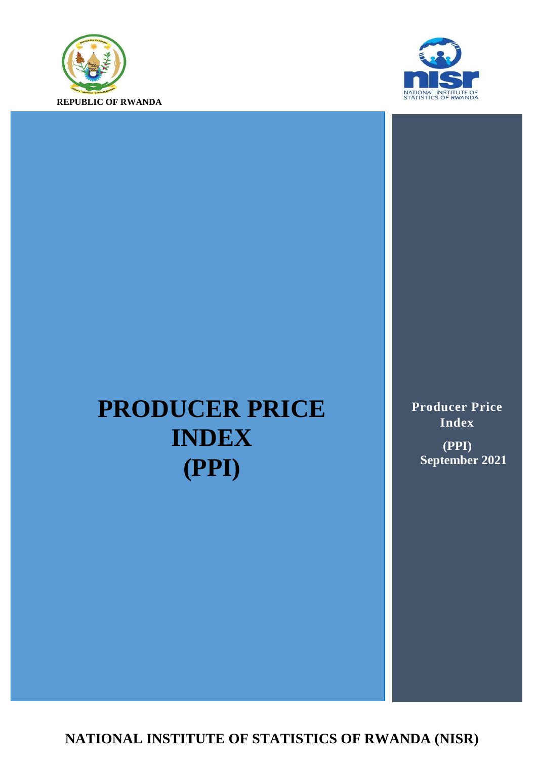



# **PRODUCER PRICE INDEX (PPI)**

**Producer Price Index (PPI) September 2021**

**NATIONAL INSTITUTE OF STATISTICS OF RWANDA (NISR)**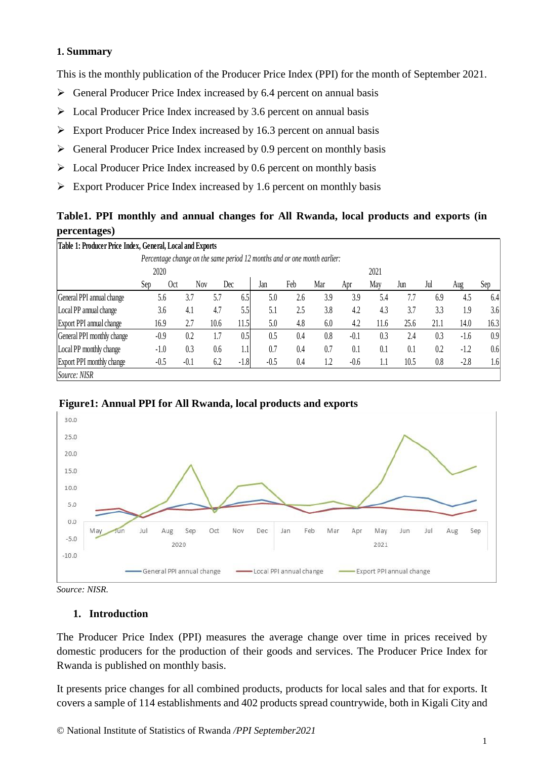#### **1. Summary**

This is the monthly publication of the Producer Price Index (PPI) for the month of September 2021.

- $\triangleright$  General Producer Price Index increased by 6.4 percent on annual basis
- $\triangleright$  Local Producer Price Index increased by 3.6 percent on annual basis
- $\triangleright$  Export Producer Price Index increased by 16.3 percent on annual basis
- $\triangleright$  General Producer Price Index increased by 0.9 percent on monthly basis
- $\triangleright$  Local Producer Price Index increased by 0.6 percent on monthly basis
- $\triangleright$  Export Producer Price Index increased by 1.6 percent on monthly basis

## **Table1. PPI monthly and annual changes for All Rwanda, local products and exports (in percentages)**

| Table 1: Producer Price Index, General, Local and Exports                |      |            |        |      |        |        |      |     |        |      |      |      |        |      |
|--------------------------------------------------------------------------|------|------------|--------|------|--------|--------|------|-----|--------|------|------|------|--------|------|
| Percentage change on the same period 12 months and or one month earlier: |      |            |        |      |        |        |      |     |        |      |      |      |        |      |
|                                                                          | 2020 |            |        |      |        |        | 2021 |     |        |      |      |      |        |      |
|                                                                          | Sep  | <b>Oct</b> | Nov    |      | Dec    | Jan    | Feb  | Mar | Apr    | May  | Jun  | Jul  | Aug    | Sep  |
| General PPI annual change                                                |      | 5.6        | 3.7    | 5.7  | 6.5    | 5.0    | 2.6  | 3.9 | 3.9    | 5.4  | 7.7  | 6.9  | 4.5    | 6.4  |
| Local PP annual change                                                   |      | 3.6        | 4.1    | 4.7  | 5.5    | 5.1    | 2.5  | 3.8 | 4.2    | 4.3  | 3.7  | 3.3  | 1.9    | 3.6  |
| Export PPI annual change                                                 |      | 16.9       | 2.7    | 10.6 | 11.5   | 5.0    | 4.8  | 6.0 | 4.2    | 11.6 | 25.6 | 21.1 | 14.0   | 16.3 |
| General PPI monthly change                                               |      | $-0.9$     | 0.2    | 1.7  | 0.5    | 0.5    | 0.4  | 0.8 | $-0.1$ | 0.3  | 2.4  | 0.3  | $-1.6$ | 0.9  |
| Local PP monthly change                                                  |      | $-1.0$     | 0.3    | 0.6  | 1.1    | 0.7    | 0.4  | 0.7 | 0.1    | 0.1  | 0.1  | 0.2  | $-1.2$ | 0.6  |
| Export PPI monthly change                                                |      | $-0.5$     | $-0.1$ | 6.2  | $-1.8$ | $-0.5$ | 0.4  | 1.2 | $-0.6$ | IJ   | 10.5 | 0.8  | $-2.8$ | 1.6  |
| Source: NISR                                                             |      |            |        |      |        |        |      |     |        |      |      |      |        |      |





*Source: NISR.*

#### **1. Introduction**

The Producer Price Index (PPI) measures the average change over time in prices received by domestic producers for the production of their goods and services. The Producer Price Index for Rwanda is published on monthly basis.

It presents price changes for all combined products, products for local sales and that for exports. It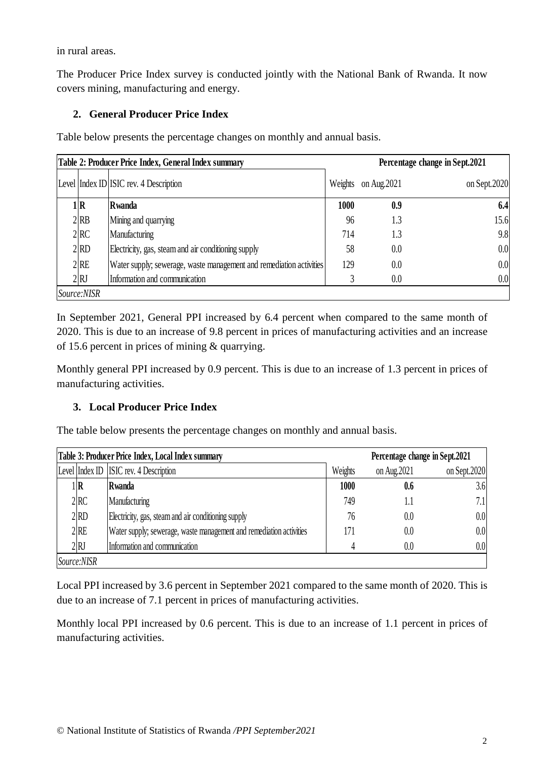in rural areas.

The Producer Price Index survey is conducted jointly with the National Bank of Rwanda. It now covers mining, manufacturing and energy.

# **2. General Producer Price Index**

Table below presents the percentage changes on monthly and annual basis.

|                   | Table 2: Producer Price Index, General Index summary                | Percentage change in Sept.2021 |              |              |  |  |
|-------------------|---------------------------------------------------------------------|--------------------------------|--------------|--------------|--|--|
|                   | Level Index ID ISIC rev. 4 Description                              | Weights                        | on Aug. 2021 | on Sept.2020 |  |  |
| 1   R             | Rwanda                                                              | 1000                           | 0.9          | 6.4          |  |  |
| $2$ <sub>RB</sub> | Mining and quarrying                                                | 96                             | 1.3          | 15.6         |  |  |
| 2 <sub>RC</sub>   | <b>Manufacturing</b>                                                | 714                            | 1.3          | 9.8          |  |  |
| 2 RD              | Electricity, gas, steam and air conditioning supply                 | 58                             | 0.0          | 0.0          |  |  |
| $2$ <sub>RE</sub> | Water supply; sewerage, waste management and remediation activities | 129                            | 0.0          | 0.0          |  |  |
| 2RJ               | Information and communication                                       |                                | 0.0          | 0.0          |  |  |
| Source:NISR       |                                                                     |                                |              |              |  |  |

In September 2021, General PPI increased by 6.4 percent when compared to the same month of 2020. This is due to an increase of 9.8 percent in prices of manufacturing activities and an increase of 15.6 percent in prices of mining & quarrying.

Monthly general PPI increased by 0.9 percent. This is due to an increase of 1.3 percent in prices of manufacturing activities.

### **3. Local Producer Price Index**

The table below presents the percentage changes on monthly and annual basis.

|                   | Table 3: Producer Price Index, Local Index summary                  |         | Percentage change in Sept.2021 |               |
|-------------------|---------------------------------------------------------------------|---------|--------------------------------|---------------|
|                   | Level Index ID ISIC rev. 4 Description                              | Weights | on Aug. 2021                   | on Sept. 2020 |
| l R               | Rwanda                                                              | 1000    | 0.6                            | 3.6           |
| 2 <sub>RC</sub>   | Manufacturing                                                       | 749     |                                | 7.1           |
| $2$ <sub>RD</sub> | Electricity, gas, steam and air conditioning supply                 | 76      | 0.0                            | 0.0           |
| 2RE               | Water supply; sewerage, waste management and remediation activities | 171     | $0.0\,$                        | 0.0           |
| 2RJ               | Information and communication                                       |         | 0.0                            | 0.0           |
| Source:NISR       |                                                                     |         |                                |               |

Local PPI increased by 3.6 percent in September 2021 compared to the same month of 2020. This is due to an increase of 7.1 percent in prices of manufacturing activities.

Monthly local PPI increased by 0.6 percent. This is due to an increase of 1.1 percent in prices of manufacturing activities.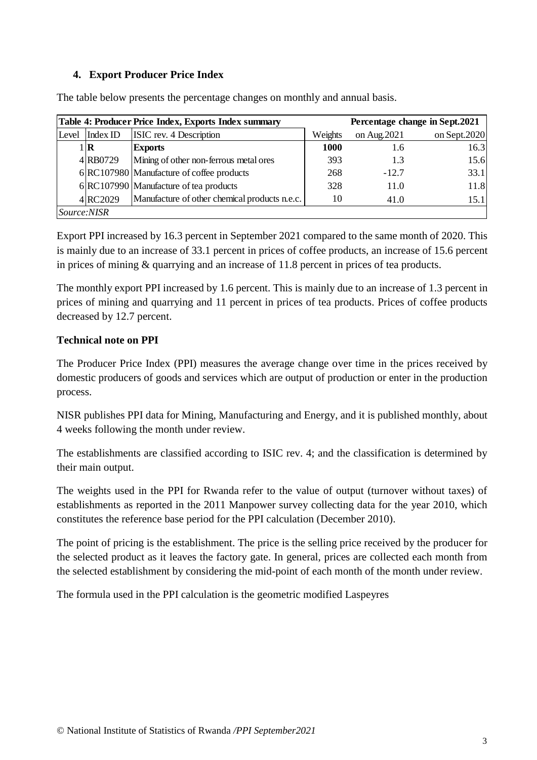### **4. Export Producer Price Index**

|             |              | Table 4: Producer Price Index, Exports Index summary |             |              | Percentage change in Sept.2021 |
|-------------|--------------|------------------------------------------------------|-------------|--------------|--------------------------------|
| Level       | Index ID     | ISIC rev. 4 Description                              | Weights     | on Aug. 2021 | on Sept. $2020$                |
|             | $1$ $\bf{R}$ | <b>Exports</b>                                       | <b>1000</b> | 1.6          | 16.3                           |
|             | 4RB0729      | Mining of other non-ferrous metal ores               | 393         | 1.3          | 15.6                           |
|             |              | 6 RC107980 Manufacture of coffee products            | 268         | $-12.7$      | 33.1                           |
|             |              | 6 RC107990 Manufacture of tea products               | 328         | 11.0         | 11.8                           |
|             | 4RC2029      | Manufacture of other chemical products n.e.c.        | 10          | 41.0         | 15.1                           |
| Source:NISR |              |                                                      |             |              |                                |

The table below presents the percentage changes on monthly and annual basis.

Export PPI increased by 16.3 percent in September 2021 compared to the same month of 2020. This is mainly due to an increase of 33.1 percent in prices of coffee products, an increase of 15.6 percent in prices of mining & quarrying and an increase of 11.8 percent in prices of tea products.

The monthly export PPI increased by 1.6 percent. This is mainly due to an increase of 1.3 percent in prices of mining and quarrying and 11 percent in prices of tea products. Prices of coffee products decreased by 12.7 percent.

### **Technical note on PPI**

The Producer Price Index (PPI) measures the average change over time in the prices received by domestic producers of goods and services which are output of production or enter in the production process.

NISR publishes PPI data for Mining, Manufacturing and Energy, and it is published monthly, about 4 weeks following the month under review.

The establishments are classified according to ISIC rev. 4; and the classification is determined by their main output.

The weights used in the PPI for Rwanda refer to the value of output (turnover without taxes) of establishments as reported in the 2011 Manpower survey collecting data for the year 2010, which constitutes the reference base period for the PPI calculation (December 2010).

The point of pricing is the establishment. The price is the selling price received by the producer for the selected product as it leaves the factory gate. In general, prices are collected each month from the selected establishment by considering the mid-point of each month of the month under review.

The formula used in the PPI calculation is the geometric modified Laspeyres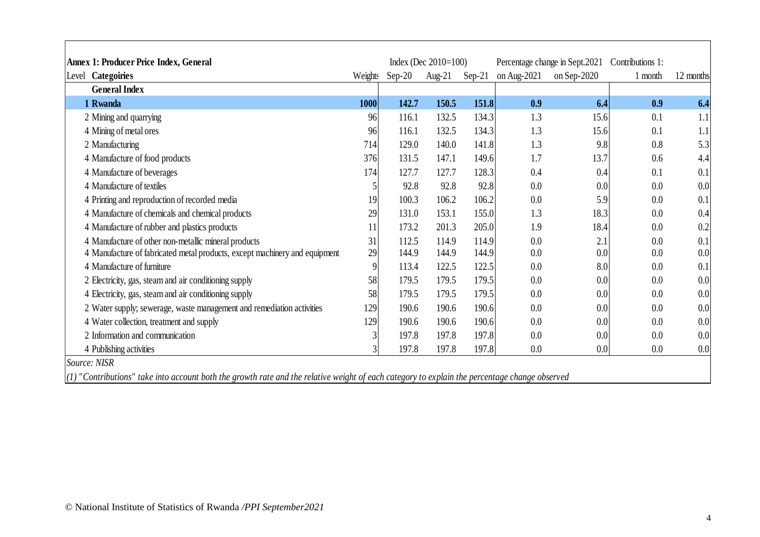| Annex 1: Producer Price Index, General                                                                                                          |         |          | Index (Dec $2010=100$ ) |          |             | Percentage change in Sept.2021 | Contributions 1: |           |
|-------------------------------------------------------------------------------------------------------------------------------------------------|---------|----------|-------------------------|----------|-------------|--------------------------------|------------------|-----------|
| <b>Categoiries</b><br>Level                                                                                                                     | Weights | $Sep-20$ | Aug- $21$               | $Sep-21$ | on Aug-2021 | on Sep- $2020$                 | 1 month          | 12 months |
| <b>General Index</b>                                                                                                                            |         |          |                         |          |             |                                |                  |           |
| 1 Rwanda                                                                                                                                        | 1000    | 142.7    | 150.5                   | 151.8    | 0.9         | 6.4                            | 0.9              | 6.4       |
| 2 Mining and quarrying                                                                                                                          | 96      | 116.1    | 132.5                   | 134.3    | 1.3         | 15.6                           | 0.1              | 1.1       |
| 4 Mining of metal ores                                                                                                                          | 96      | 116.1    | 132.5                   | 134.3    | 1.3         | 15.6                           | 0.1              | 1.1       |
| 2 Manufacturing                                                                                                                                 | 714     | 129.0    | 140.0                   | 141.8    | 1.3         | 9.8                            | 0.8              | 5.3       |
| 4 Manufacture of food products                                                                                                                  | 376     | 131.5    | 147.1                   | 149.6    | 1.7         | 13.7                           | 0.6              | 4.4       |
| 4 Manufacture of beverages                                                                                                                      | 174     | 127.7    | 127.7                   | 128.3    | 0.4         | 0.4                            | 0.1              | 0.1       |
| 4 Manufacture of textiles                                                                                                                       |         | 92.8     | 92.8                    | 92.8     | 0.0         | 0.0                            | 0.0              | 0.0       |
| 4 Printing and reproduction of recorded media                                                                                                   | 19      | 100.3    | 106.2                   | 106.2    | 0.0         | 5.9                            | 0.0              | 0.1       |
| 4 Manufacture of chemicals and chemical products                                                                                                | 29      | 131.0    | 153.1                   | 155.0    | 1.3         | 18.3                           | 0.0              | 0.4       |
| 4 Manufacture of rubber and plastics products                                                                                                   | 11      | 173.2    | 201.3                   | 205.0    | 1.9         | 18.4                           | 0.0              | 0.2       |
| 4 Manufacture of other non-metallic mineral products                                                                                            | 31      | 112.5    | 114.9                   | 114.9    | 0.0         | 2.1                            | 0.0              | 0.1       |
| 4 Manufacture of fabricated metal products, except machinery and equipment                                                                      | 29      | 144.9    | 144.9                   | 144.9    | 0.0         | 0.0                            | 0.0              | 0.0       |
| 4 Manufacture of furniture                                                                                                                      | 9       | 113.4    | 122.5                   | 122.5    | 0.0         | 8.0                            | 0.0              | 0.1       |
| 2 Electricity, gas, steam and air conditioning supply                                                                                           | 58      | 179.5    | 179.5                   | 179.5    | 0.0         | 0.0                            | 0.0              | 0.0       |
| 4 Electricity, gas, steam and air conditioning supply                                                                                           | 58      | 179.5    | 179.5                   | 179.5    | 0.0         | 0.0                            | 0.0              | 0.0       |
| 2 Water supply; sewerage, waste management and remediation activities                                                                           | 129     | 190.6    | 190.6                   | 190.6    | 0.0         | 0.0                            | 0.0              | 0.0       |
| 4 Water collection, treatment and supply                                                                                                        | 129     | 190.6    | 190.6                   | 190.6    | 0.0         | 0.0                            | 0.0              | 0.0       |
| 2 Information and communication                                                                                                                 |         | 197.8    | 197.8                   | 197.8    | 0.0         | 0.0                            | 0.0              | 0.0       |
| 4 Publishing activities                                                                                                                         |         | 197.8    | 197.8                   | 197.8    | 0.0         | 0.0                            | 0.0              | 0.0       |
| Source: NISR                                                                                                                                    |         |          |                         |          |             |                                |                  |           |
| $(1)$ "Contributions" take into account both the growth rate and the relative weight of each category to explain the percentage change observed |         |          |                         |          |             |                                |                  |           |

 $\mathsf{L}$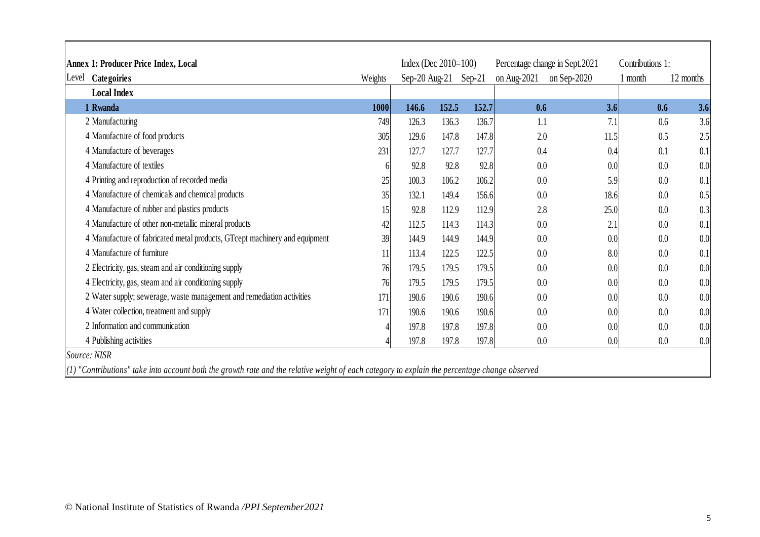| <b>Annex 1: Producer Price Index, Local</b>                                |         | Index (Dec $2010=100$ ) |       |          | Percentage change in Sept.2021 |             | Contributions 1: |           |
|----------------------------------------------------------------------------|---------|-------------------------|-------|----------|--------------------------------|-------------|------------------|-----------|
| Categoiries<br>Level                                                       | Weights | $Sep-20$ Aug-21         |       | $Sep-21$ | on Aug-2021                    | on Sep-2020 | 1 month          | 12 months |
| <b>Local Index</b>                                                         |         |                         |       |          |                                |             |                  |           |
| 1 Rwanda                                                                   | 1000    | 146.6                   | 152.5 | 152.7    | 0.6                            | 3.6         | 0.6              | 3.6       |
| 2 Manufacturing                                                            | 749     | 126.3                   | 136.3 | 136.7    | 1.1                            | 7.1         | 0.6              | 3.6       |
| 4 Manufacture of food products                                             | 305     | 129.6                   | 147.8 | 147.8    | 2.0                            | 11.5        | 0.5              | 2.5       |
| 4 Manufacture of beverages                                                 | 231     | 127.7                   | 127.7 | 127.7    | 0.4                            | 0.4         | 0.1              | 0.1       |
| 4 Manufacture of textiles                                                  |         | 92.8                    | 92.8  | 92.8     | 0.0                            | 0.0         | 0.0              | 0.0       |
| 4 Printing and reproduction of recorded media                              | 25      | 100.3                   | 106.2 | 106.2    | 0.0                            | 5.9         | 0.0              | 0.1       |
| 4 Manufacture of chemicals and chemical products                           | 35      | 132.1                   | 149.4 | 156.6    | 0.0                            | 18.6        | 0.0              | 0.5       |
| 4 Manufacture of rubber and plastics products                              | 15      | 92.8                    | 112.9 | 112.9    | 2.8                            | 25.0        | 0.0              | 0.3       |
| 4 Manufacture of other non-metallic mineral products                       | 42      | 112.5                   | 114.3 | 114.3    | 0.0                            | 2.1         | 0.0              | 0.1       |
| 4 Manufacture of fabricated metal products, GTcept machinery and equipment | 39      | 144.9                   | 144.9 | 144.9    | 0.0                            | 0.0         | 0.0              | 0.0       |
| 4 Manufacture of furniture                                                 |         | 113.4                   | 122.5 | 122.5    | 0.0                            | 8.0         | 0.0              | 0.1       |
| 2 Electricity, gas, steam and air conditioning supply                      | 76      | 179.5                   | 179.5 | 179.5    | 0.0                            | 0.0         | 0.0              | 0.0       |
| 4 Electricity, gas, steam and air conditioning supply                      | 76      | 179.5                   | 179.5 | 179.5    | 0.0                            | 0.0         | 0.0              | 0.0       |
| 2 Water supply; sewerage, waste management and remediation activities      | 171     | 190.6                   | 190.6 | 190.6    | 0.0                            | 0.0         | 0.0              | 0.0       |
| 4 Water collection, treatment and supply                                   | 171     | 190.6                   | 190.6 | 190.6    | 0.0                            | 0.0         | 0.0              | 0.0       |
| 2 Information and communication                                            |         | 197.8                   | 197.8 | 197.8    | 0.0                            | 0.0         | 0.0              | 0.0       |
| 4 Publishing activities                                                    |         | 197.8                   | 197.8 | 197.8    | 0.0                            | 0.0         | 0.0              | 0.0       |

ा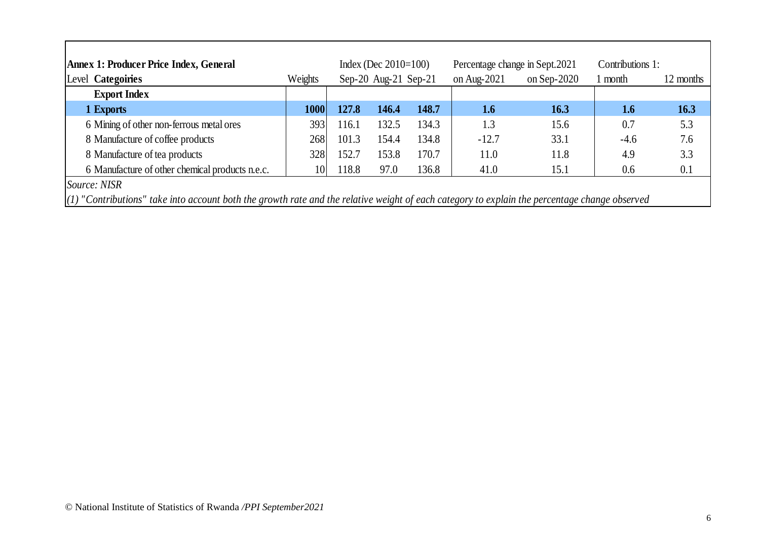| <b>Annex 1: Producer Price Index, General</b>                                                                                                   |         |       | Index (Dec $2010=100$ ) |       | Percentage change in Sept. 2021 |                | Contributions 1: |           |
|-------------------------------------------------------------------------------------------------------------------------------------------------|---------|-------|-------------------------|-------|---------------------------------|----------------|------------------|-----------|
| Level Categoiries                                                                                                                               | Weights |       | Sep-20 Aug-21 Sep-21    |       | on Aug- $2021$                  | on Sep- $2020$ | l month          | 12 months |
| <b>Export Index</b>                                                                                                                             |         |       |                         |       |                                 |                |                  |           |
| 1 Exports                                                                                                                                       | 1000    | 127.8 | 146.4                   | 148.7 | 1.6                             | 16.3           | 1.6              | 16.3      |
| 6 Mining of other non-ferrous metal ores                                                                                                        | 393     | 116.1 | 132.5                   | 134.3 | 1.3                             | 15.6           | 0.7              | 5.3       |
| 8 Manufacture of coffee products                                                                                                                | 268     | 101.3 | 154.4                   | 134.8 | $-12.7$                         | 33.1           | $-4.6$           | 7.6       |
| 8 Manufacture of tea products                                                                                                                   | 328     | 152.7 | 153.8                   | 170.7 | 11.0                            | 11.8           | 4.9              | 3.3       |
| 6 Manufacture of other chemical products n.e.c.                                                                                                 | 10      | 118.8 | 97.0                    | 136.8 | 41.0                            | 15.1           | 0.6              | 0.1       |
| Source: NISR                                                                                                                                    |         |       |                         |       |                                 |                |                  |           |
| $(1)$ "Contributions" take into account both the growth rate and the relative weight of each category to explain the percentage change observed |         |       |                         |       |                                 |                |                  |           |